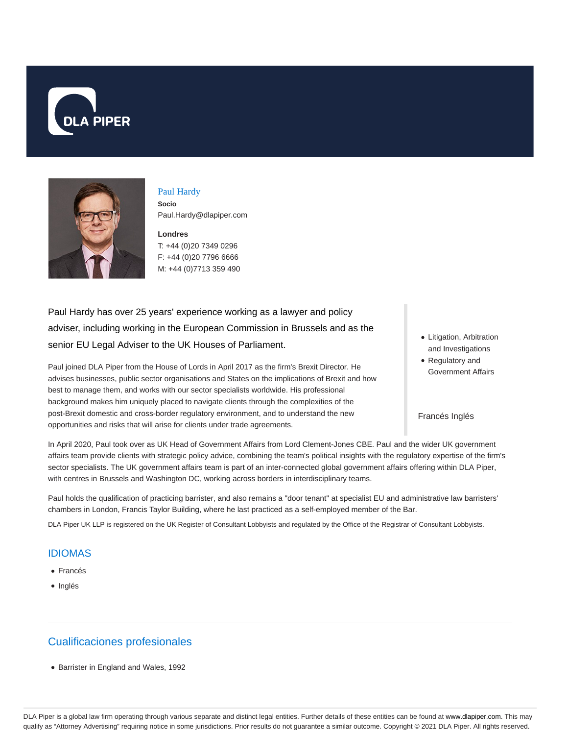



### Paul Hardy

**Socio** Paul.Hardy@dlapiper.com

**Londres** T: +44 (0)20 7349 0296 F: +44 (0)20 7796 6666 M: +44 (0)7713 359 490

Paul Hardy has over 25 years' experience working as a lawyer and policy adviser, including working in the European Commission in Brussels and as the senior EU Legal Adviser to the UK Houses of Parliament.

Paul joined DLA Piper from the House of Lords in April 2017 as the firm's Brexit Director. He advises businesses, public sector organisations and States on the implications of Brexit and how best to manage them, and works with our sector specialists worldwide. His professional background makes him uniquely placed to navigate clients through the complexities of the post-Brexit domestic and cross-border regulatory environment, and to understand the new opportunities and risks that will arise for clients under trade agreements.

- Litigation, Arbitration and Investigations
- Regulatory and Government Affairs

#### Francés Inglés

In April 2020, Paul took over as UK Head of Government Affairs from Lord Clement-Jones CBE. Paul and the wider UK government affairs team provide clients with strategic policy advice, combining the team's political insights with the regulatory expertise of the firm's sector specialists. The UK government affairs team is part of an inter-connected global government affairs offering within DLA Piper, with centres in Brussels and Washington DC, working across borders in interdisciplinary teams.

Paul holds the qualification of practicing barrister, and also remains a "door tenant" at specialist EU and administrative law barristers' chambers in London, Francis Taylor Building, where he last practiced as a self-employed member of the Bar.

DLA Piper UK LLP is registered on the UK Register of Consultant Lobbyists and regulated by the Office of the Registrar of Consultant Lobbyists.

## IDIOMAS

- Francés
- Inglés

# Cualificaciones profesionales

Barrister in England and Wales, 1992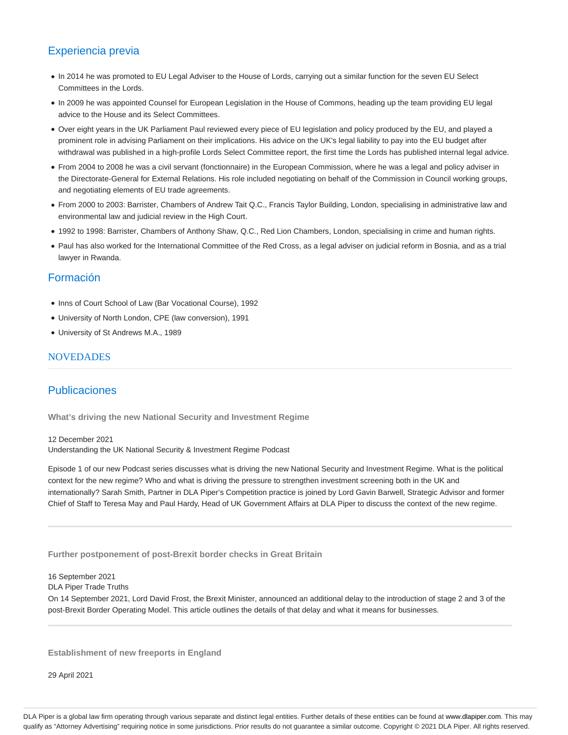# Experiencia previa

- In 2014 he was promoted to EU Legal Adviser to the House of Lords, carrying out a similar function for the seven EU Select Committees in the Lords.
- In 2009 he was appointed Counsel for European Legislation in the House of Commons, heading up the team providing EU legal advice to the House and its Select Committees.
- Over eight years in the UK Parliament Paul reviewed every piece of EU legislation and policy produced by the EU, and played a prominent role in advising Parliament on their implications. His advice on the UK's legal liability to pay into the EU budget after withdrawal was published in a high-profile Lords Select Committee report, the first time the Lords has published internal legal advice.
- From 2004 to 2008 he was a civil servant (fonctionnaire) in the European Commission, where he was a legal and policy adviser in the Directorate-General for External Relations. His role included negotiating on behalf of the Commission in Council working groups, and negotiating elements of EU trade agreements.
- From 2000 to 2003: Barrister, Chambers of Andrew Tait Q.C., Francis Taylor Building, London, specialising in administrative law and environmental law and judicial review in the High Court.
- 1992 to 1998: Barrister, Chambers of Anthony Shaw, Q.C., Red Lion Chambers, London, specialising in crime and human rights.
- Paul has also worked for the International Committee of the Red Cross, as a legal adviser on judicial reform in Bosnia, and as a trial lawyer in Rwanda.

## Formación

- Inns of Court School of Law (Bar Vocational Course), 1992
- University of North London, CPE (law conversion), 1991
- University of St Andrews M.A., 1989

### **NOVEDADES**

### Publicaciones

**What's driving the new National Security and Investment Regime**

12 December 2021 Understanding the UK National Security & Investment Regime Podcast

Episode 1 of our new Podcast series discusses what is driving the new National Security and Investment Regime. What is the political context for the new regime? Who and what is driving the pressure to strengthen investment screening both in the UK and internationally? Sarah Smith, Partner in DLA Piper's Competition practice is joined by Lord Gavin Barwell, Strategic Advisor and former Chief of Staff to Teresa May and Paul Hardy, Head of UK Government Affairs at DLA Piper to discuss the context of the new regime.

**Further postponement of post-Brexit border checks in Great Britain**

16 September 2021

DLA Piper Trade Truths

On 14 September 2021, Lord David Frost, the Brexit Minister, announced an additional delay to the introduction of stage 2 and 3 of the post-Brexit Border Operating Model. This article outlines the details of that delay and what it means for businesses.

**Establishment of new freeports in England**

29 April 2021

DLA Piper is a global law firm operating through various separate and distinct legal entities. Further details of these entities can be found at www.dlapiper.com. This may qualify as "Attorney Advertising" requiring notice in some jurisdictions. Prior results do not guarantee a similar outcome. Copyright © 2021 DLA Piper. All rights reserved.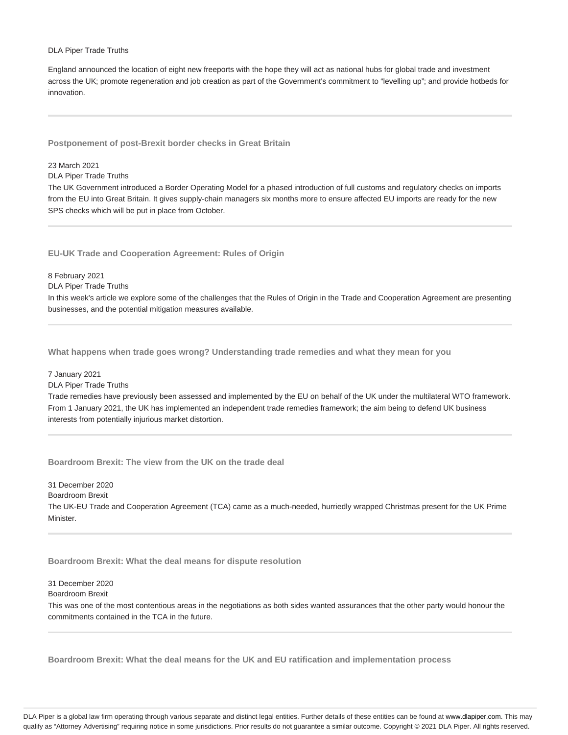#### DLA Piper Trade Truths

England announced the location of eight new freeports with the hope they will act as national hubs for global trade and investment across the UK; promote regeneration and job creation as part of the Government's commitment to "levelling up"; and provide hotbeds for innovation.

**Postponement of post-Brexit border checks in Great Britain**

### 23 March 2021

DLA Piper Trade Truths

The UK Government introduced a Border Operating Model for a phased introduction of full customs and regulatory checks on imports from the EU into Great Britain. It gives supply-chain managers six months more to ensure affected EU imports are ready for the new SPS checks which will be put in place from October.

**EU-UK Trade and Cooperation Agreement: Rules of Origin**

#### 8 February 2021

DLA Piper Trade Truths

In this week's article we explore some of the challenges that the Rules of Origin in the Trade and Cooperation Agreement are presenting businesses, and the potential mitigation measures available.

**What happens when trade goes wrong? Understanding trade remedies and what they mean for you**

#### 7 January 2021

DLA Piper Trade Truths

Trade remedies have previously been assessed and implemented by the EU on behalf of the UK under the multilateral WTO framework. From 1 January 2021, the UK has implemented an independent trade remedies framework; the aim being to defend UK business interests from potentially injurious market distortion.

**Boardroom Brexit: The view from the UK on the trade deal**

31 December 2020

Boardroom Brexit The UK-EU Trade and Cooperation Agreement (TCA) came as a much-needed, hurriedly wrapped Christmas present for the UK Prime Minister.

**Boardroom Brexit: What the deal means for dispute resolution**

31 December 2020 Boardroom Brexit

This was one of the most contentious areas in the negotiations as both sides wanted assurances that the other party would honour the commitments contained in the TCA in the future.

**Boardroom Brexit: What the deal means for the UK and EU ratification and implementation process**

DLA Piper is a global law firm operating through various separate and distinct legal entities. Further details of these entities can be found at www.dlapiper.com. This may qualify as "Attorney Advertising" requiring notice in some jurisdictions. Prior results do not guarantee a similar outcome. Copyright @ 2021 DLA Piper. All rights reserved.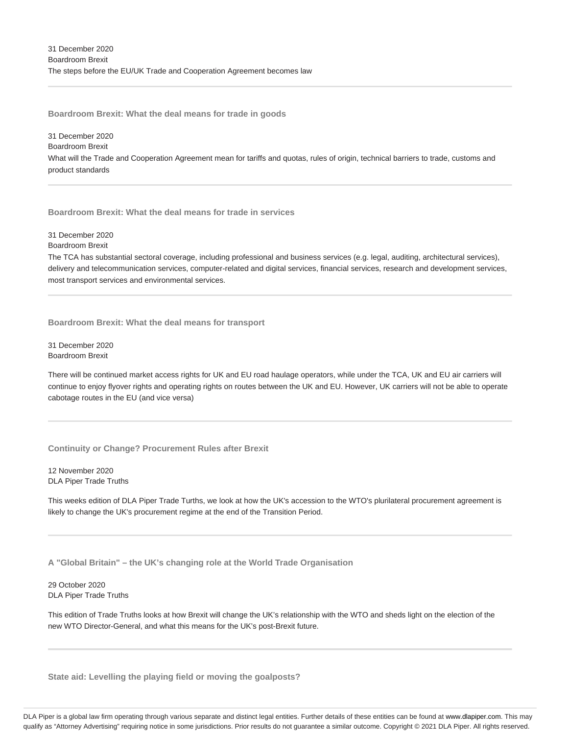**Boardroom Brexit: What the deal means for trade in goods**

31 December 2020 Boardroom Brexit What will the Trade and Cooperation Agreement mean for tariffs and quotas, rules of origin, technical barriers to trade, customs and product standards

**Boardroom Brexit: What the deal means for trade in services**

Boardroom Brexit The TCA has substantial sectoral coverage, including professional and business services (e.g. legal, auditing, architectural services), delivery and telecommunication services, computer-related and digital services, financial services, research and development services, most transport services and environmental services.

**Boardroom Brexit: What the deal means for transport**

31 December 2020 Boardroom Brexit

31 December 2020

There will be continued market access rights for UK and EU road haulage operators, while under the TCA, UK and EU air carriers will continue to enjoy flyover rights and operating rights on routes between the UK and EU. However, UK carriers will not be able to operate cabotage routes in the EU (and vice versa)

**Continuity or Change? Procurement Rules after Brexit**

12 November 2020 DLA Piper Trade Truths

This weeks edition of DLA Piper Trade Turths, we look at how the UK's accession to the WTO's plurilateral procurement agreement is likely to change the UK's procurement regime at the end of the Transition Period.

**A "Global Britain" – the UK's changing role at the World Trade Organisation**

29 October 2020 DLA Piper Trade Truths

This edition of Trade Truths looks at how Brexit will change the UK's relationship with the WTO and sheds light on the election of the new WTO Director-General, and what this means for the UK's post-Brexit future.

**State aid: Levelling the playing field or moving the goalposts?**

DLA Piper is a global law firm operating through various separate and distinct legal entities. Further details of these entities can be found at www.dlapiper.com. This may qualify as "Attorney Advertising" requiring notice in some jurisdictions. Prior results do not guarantee a similar outcome. Copyright @ 2021 DLA Piper. All rights reserved.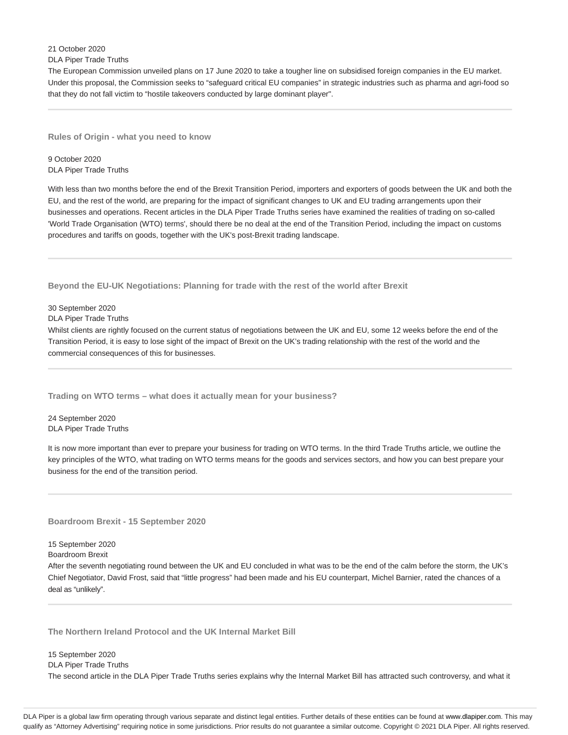21 October 2020

DLA Piper Trade Truths

The European Commission unveiled plans on 17 June 2020 to take a tougher line on subsidised foreign companies in the EU market. Under this proposal, the Commission seeks to "safeguard critical EU companies" in strategic industries such as pharma and agri-food so that they do not fall victim to "hostile takeovers conducted by large dominant player".

**Rules of Origin - what you need to know**

9 October 2020 DLA Piper Trade Truths

With less than two months before the end of the Brexit Transition Period, importers and exporters of goods between the UK and both the EU, and the rest of the world, are preparing for the impact of significant changes to UK and EU trading arrangements upon their businesses and operations. Recent articles in the DLA Piper Trade Truths series have examined the realities of trading on so-called 'World Trade Organisation (WTO) terms', should there be no deal at the end of the Transition Period, including the impact on customs procedures and tariffs on goods, together with the UK's post-Brexit trading landscape.

**Beyond the EU-UK Negotiations: Planning for trade with the rest of the world after Brexit**

30 September 2020

DLA Piper Trade Truths

Whilst clients are rightly focused on the current status of negotiations between the UK and EU, some 12 weeks before the end of the Transition Period, it is easy to lose sight of the impact of Brexit on the UK's trading relationship with the rest of the world and the commercial consequences of this for businesses.

**Trading on WTO terms – what does it actually mean for your business?**

24 September 2020 DLA Piper Trade Truths

It is now more important than ever to prepare your business for trading on WTO terms. In the third Trade Truths article, we outline the key principles of the WTO, what trading on WTO terms means for the goods and services sectors, and how you can best prepare your business for the end of the transition period.

**Boardroom Brexit - 15 September 2020**

15 September 2020

Boardroom Brexit

After the seventh negotiating round between the UK and EU concluded in what was to be the end of the calm before the storm, the UK's Chief Negotiator, David Frost, said that "little progress" had been made and his EU counterpart, Michel Barnier, rated the chances of a deal as "unlikely".

**The Northern Ireland Protocol and the UK Internal Market Bill**

15 September 2020 DLA Piper Trade Truths The second article in the DLA Piper Trade Truths series explains why the Internal Market Bill has attracted such controversy, and what it

DLA Piper is a global law firm operating through various separate and distinct legal entities. Further details of these entities can be found at www.dlapiper.com. This may qualify as "Attorney Advertising" requiring notice in some jurisdictions. Prior results do not guarantee a similar outcome. Copyright @ 2021 DLA Piper. All rights reserved.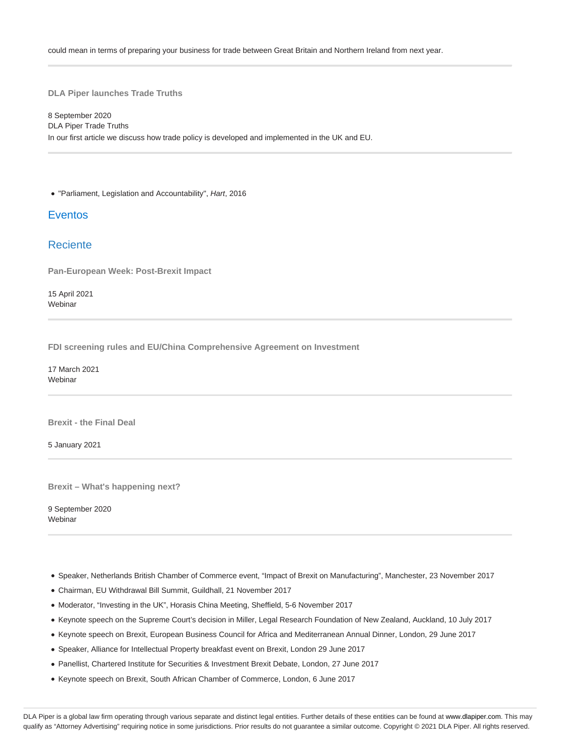could mean in terms of preparing your business for trade between Great Britain and Northern Ireland from next year.

**DLA Piper launches Trade Truths**

8 September 2020 DLA Piper Trade Truths In our first article we discuss how trade policy is developed and implemented in the UK and EU.

"Parliament, Legislation and Accountability", Hart, 2016

## **Eventos**

## Reciente

**Pan-European Week: Post-Brexit Impact**

15 April 2021 **Webinar** 

**FDI screening rules and EU/China Comprehensive Agreement on Investment**

17 March 2021 Webinar

**Brexit - the Final Deal**

5 January 2021

**Brexit – What's happening next?**

9 September 2020 **Webinar** 

- Speaker, Netherlands British Chamber of Commerce event, "Impact of Brexit on Manufacturing", Manchester, 23 November 2017
- Chairman, EU Withdrawal Bill Summit, Guildhall, 21 November 2017
- Moderator, "Investing in the UK", Horasis China Meeting, Sheffield, 5-6 November 2017
- Keynote speech on the Supreme Court's decision in Miller, Legal Research Foundation of New Zealand, Auckland, 10 July 2017
- Keynote speech on Brexit, European Business Council for Africa and Mediterranean Annual Dinner, London, 29 June 2017
- Speaker, Alliance for Intellectual Property breakfast event on Brexit, London 29 June 2017
- Panellist, Chartered Institute for Securities & Investment Brexit Debate, London, 27 June 2017
- Keynote speech on Brexit, South African Chamber of Commerce, London, 6 June 2017

DLA Piper is a global law firm operating through various separate and distinct legal entities. Further details of these entities can be found at www.dlapiper.com. This may qualify as "Attorney Advertising" requiring notice in some jurisdictions. Prior results do not guarantee a similar outcome. Copyright © 2021 DLA Piper. All rights reserved.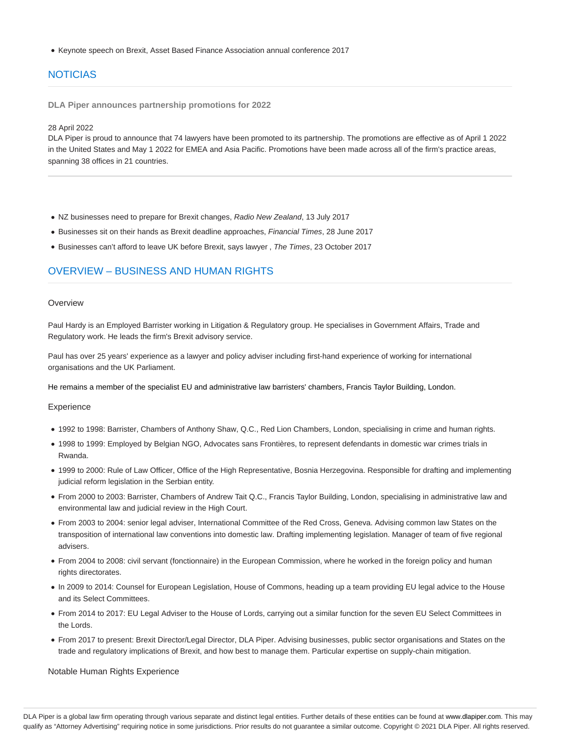Keynote speech on Brexit, Asset Based Finance Association annual conference 2017

# NOTICIAS

**DLA Piper announces partnership promotions for 2022**

#### 28 April 2022

DLA Piper is proud to announce that 74 lawyers have been promoted to its partnership. The promotions are effective as of April 1 2022 in the United States and May 1 2022 for EMEA and Asia Pacific. Promotions have been made across all of the firm's practice areas, spanning 38 offices in 21 countries.

- NZ businesses need to prepare for Brexit changes, Radio New Zealand, 13 July 2017
- Businesses sit on their hands as Brexit deadline approaches, Financial Times, 28 June 2017
- Businesses can't afford to leave UK before Brexit, says lawyer, The Times, 23 October 2017

## OVERVIEW – BUSINESS AND HUMAN RIGHTS

### **Overview**

Paul Hardy is an Employed Barrister working in Litigation & Regulatory group. He specialises in Government Affairs, Trade and Regulatory work. He leads the firm's Brexit advisory service.

Paul has over 25 years' experience as a lawyer and policy adviser including first-hand experience of working for international organisations and the UK Parliament.

He remains a member of the specialist EU and administrative law barristers' chambers, Francis Taylor Building, London.

### **Experience**

- 1992 to 1998: Barrister, Chambers of Anthony Shaw, Q.C., Red Lion Chambers, London, specialising in crime and human rights.
- 1998 to 1999: Employed by Belgian NGO, Advocates sans Frontières, to represent defendants in domestic war crimes trials in Rwanda.
- 1999 to 2000: Rule of Law Officer, Office of the High Representative, Bosnia Herzegovina. Responsible for drafting and implementing judicial reform legislation in the Serbian entity.
- From 2000 to 2003: Barrister, Chambers of Andrew Tait Q.C., Francis Taylor Building, London, specialising in administrative law and environmental law and judicial review in the High Court.
- From 2003 to 2004: senior legal adviser, International Committee of the Red Cross, Geneva. Advising common law States on the transposition of international law conventions into domestic law. Drafting implementing legislation. Manager of team of five regional advisers.
- From 2004 to 2008: civil servant (fonctionnaire) in the European Commission, where he worked in the foreign policy and human rights directorates.
- In 2009 to 2014: Counsel for European Legislation, House of Commons, heading up a team providing EU legal advice to the House and its Select Committees.
- From 2014 to 2017: EU Legal Adviser to the House of Lords, carrying out a similar function for the seven EU Select Committees in the Lords.
- From 2017 to present: Brexit Director/Legal Director, DLA Piper. Advising businesses, public sector organisations and States on the trade and regulatory implications of Brexit, and how best to manage them. Particular expertise on supply-chain mitigation.

Notable Human Rights Experience